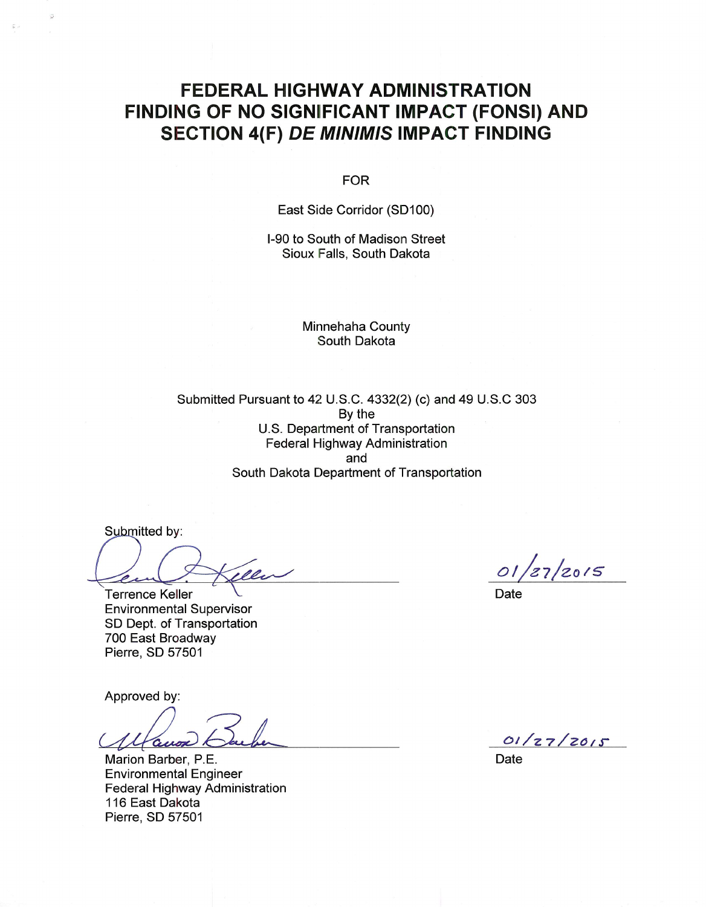### **FEDERAL HIGHWAY ADMINISTRATION** FINDING OF NO SIGNIFICANT IMPACT (FONSI) AND **SECTION 4(F) DE MINIMIS IMPACT FINDING**

**FOR** 

East Side Corridor (SD100)

I-90 to South of Madison Street Sioux Falls, South Dakota

> **Minnehaha County** South Dakota

Submitted Pursuant to 42 U.S.C. 4332(2) (c) and 49 U.S.C 303 By the U.S. Department of Transportation **Federal Highway Administration** and South Dakota Department of Transportation

Submitted by:

New

Terrence Keller **Environmental Supervisor** SD Dept. of Transportation 700 East Broadway Pierre, SD 57501

Approved by:

aux

Marion Barber, P.E. **Environmental Engineer** Federal Highway Administration 116 East Dakota Pierre, SD 57501

 $01/z_{7}/z_{0}$ 15

**Date** 

 $01/27/2015$ 

Date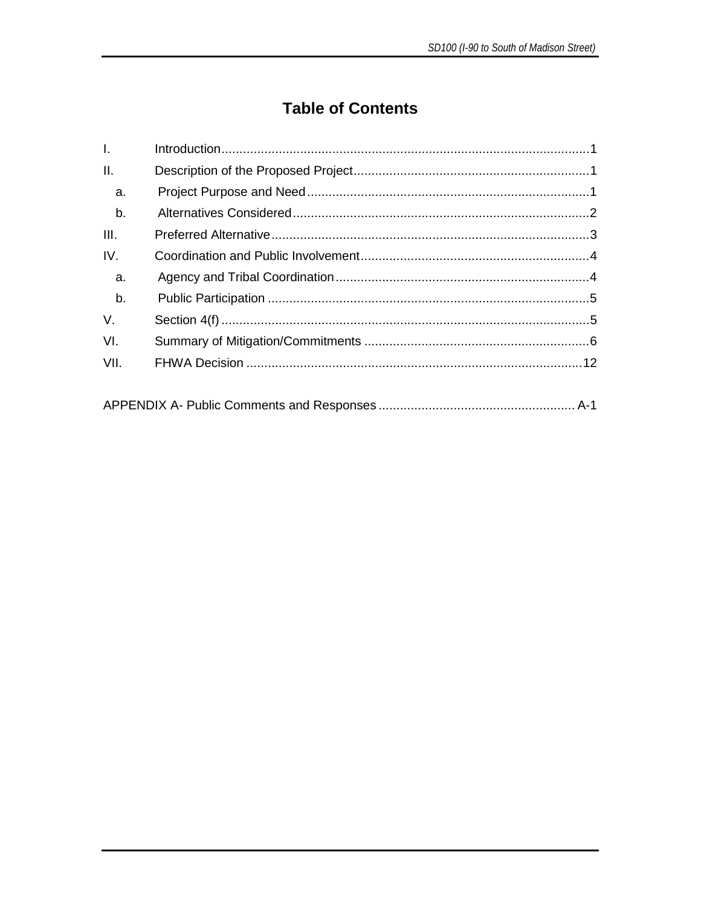### **Table of Contents**

| $\mathbf{L}$    |  |  |
|-----------------|--|--|
| $\mathbf{II}$ . |  |  |
| a.              |  |  |
| b.              |  |  |
| III.            |  |  |
| IV.             |  |  |
| a.              |  |  |
| b.              |  |  |
| V.              |  |  |
| VI.             |  |  |
| VII.            |  |  |
|                 |  |  |
|                 |  |  |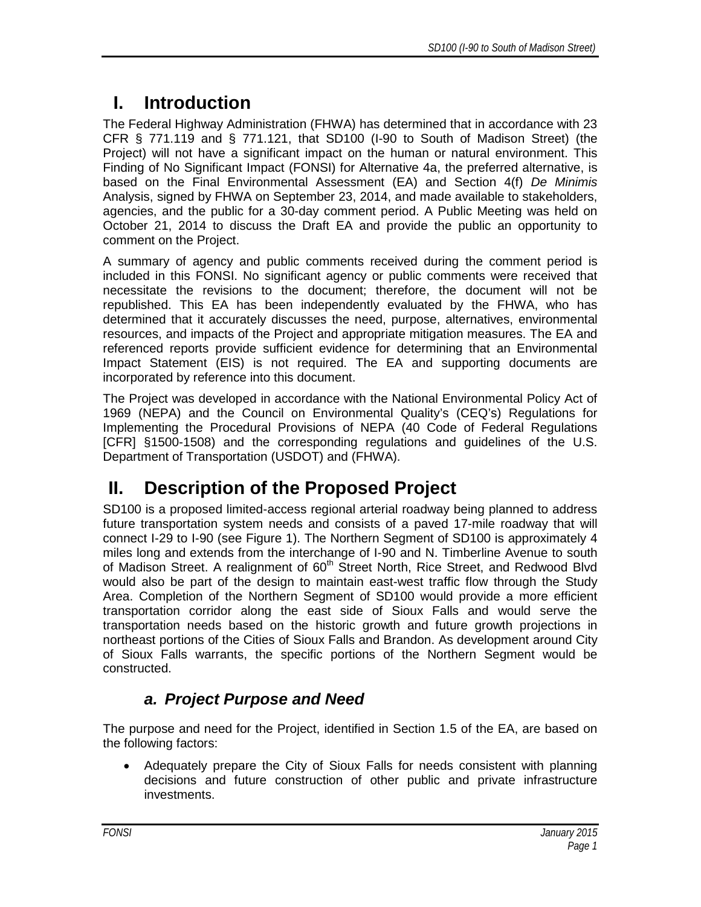# <span id="page-2-0"></span>**I. Introduction**

The Federal Highway Administration (FHWA) has determined that in accordance with 23 CFR § 771.119 and § 771.121, that SD100 (I-90 to South of Madison Street) (the Project) will not have a significant impact on the human or natural environment. This Finding of No Significant Impact (FONSI) for Alternative 4a, the preferred alternative, is based on the Final Environmental Assessment (EA) and Section 4(f) *De Minimis* Analysis, signed by FHWA on September 23, 2014, and made available to stakeholders, agencies, and the public for a 30-day comment period. A Public Meeting was held on October 21, 2014 to discuss the Draft EA and provide the public an opportunity to comment on the Project.

A summary of agency and public comments received during the comment period is included in this FONSI. No significant agency or public comments were received that necessitate the revisions to the document; therefore, the document will not be republished. This EA has been independently evaluated by the FHWA, who has determined that it accurately discusses the need, purpose, alternatives, environmental resources, and impacts of the Project and appropriate mitigation measures. The EA and referenced reports provide sufficient evidence for determining that an Environmental Impact Statement (EIS) is not required. The EA and supporting documents are incorporated by reference into this document.

The Project was developed in accordance with the National Environmental Policy Act of 1969 (NEPA) and the Council on Environmental Quality's (CEQ's) Regulations for Implementing the Procedural Provisions of NEPA (40 Code of Federal Regulations [CFR] §1500-1508) and the corresponding regulations and guidelines of the U.S. Department of Transportation (USDOT) and (FHWA).

# <span id="page-2-1"></span>**II. Description of the Proposed Project**

SD100 is a proposed limited-access regional arterial roadway being planned to address future transportation system needs and consists of a paved 17-mile roadway that will connect I-29 to I-90 (see Figure 1). The Northern Segment of SD100 is approximately 4 miles long and extends from the interchange of I-90 and N. Timberline Avenue to south of Madison Street. A realignment of 60<sup>th</sup> Street North, Rice Street, and Redwood Blvd would also be part of the design to maintain east-west traffic flow through the Study Area. Completion of the Northern Segment of SD100 would provide a more efficient transportation corridor along the east side of Sioux Falls and would serve the transportation needs based on the historic growth and future growth projections in northeast portions of the Cities of Sioux Falls and Brandon. As development around City of Sioux Falls warrants, the specific portions of the Northern Segment would be constructed.

### <span id="page-2-2"></span>*a. Project Purpose and Need*

The purpose and need for the Project, identified in Section 1.5 of the EA, are based on the following factors:

• Adequately prepare the City of Sioux Falls for needs consistent with planning decisions and future construction of other public and private infrastructure investments.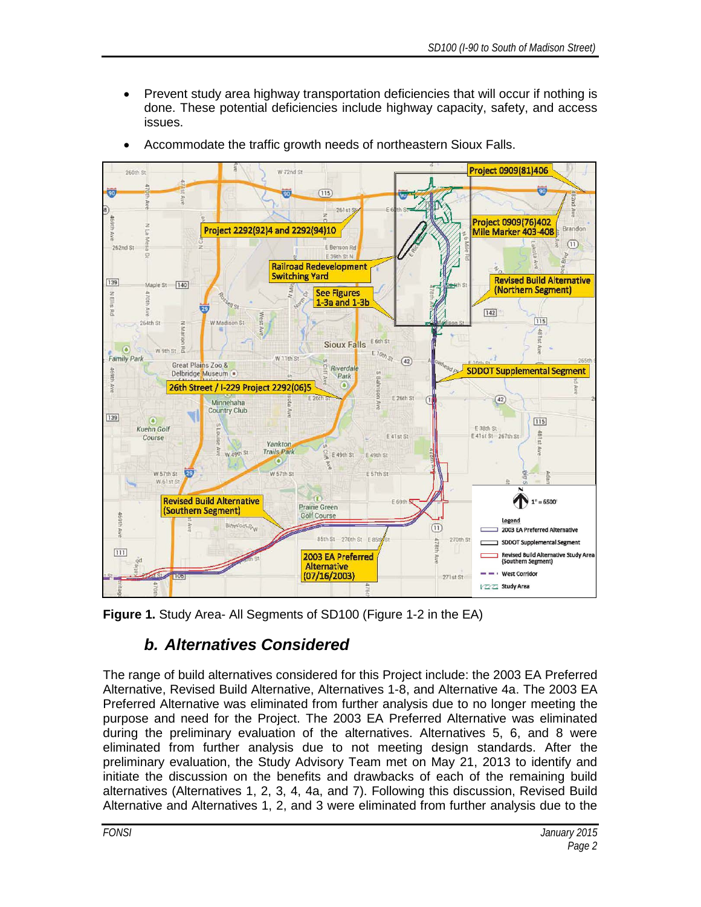• Prevent study area highway transportation deficiencies that will occur if nothing is done. These potential deficiencies include highway capacity, safety, and access issues.



• Accommodate the traffic growth needs of northeastern Sioux Falls.

<span id="page-3-0"></span>**Figure 1.** Study Area- All Segments of SD100 (Figure 1-2 in the EA)

#### *b. Alternatives Considered*

The range of build alternatives considered for this Project include: the 2003 EA Preferred Alternative, Revised Build Alternative, Alternatives 1-8, and Alternative 4a. The 2003 EA Preferred Alternative was eliminated from further analysis due to no longer meeting the purpose and need for the Project. The 2003 EA Preferred Alternative was eliminated during the preliminary evaluation of the alternatives. Alternatives 5, 6, and 8 were eliminated from further analysis due to not meeting design standards. After the preliminary evaluation, the Study Advisory Team met on May 21, 2013 to identify and initiate the discussion on the benefits and drawbacks of each of the remaining build alternatives (Alternatives 1, 2, 3, 4, 4a, and 7). Following this discussion, Revised Build Alternative and Alternatives 1, 2, and 3 were eliminated from further analysis due to the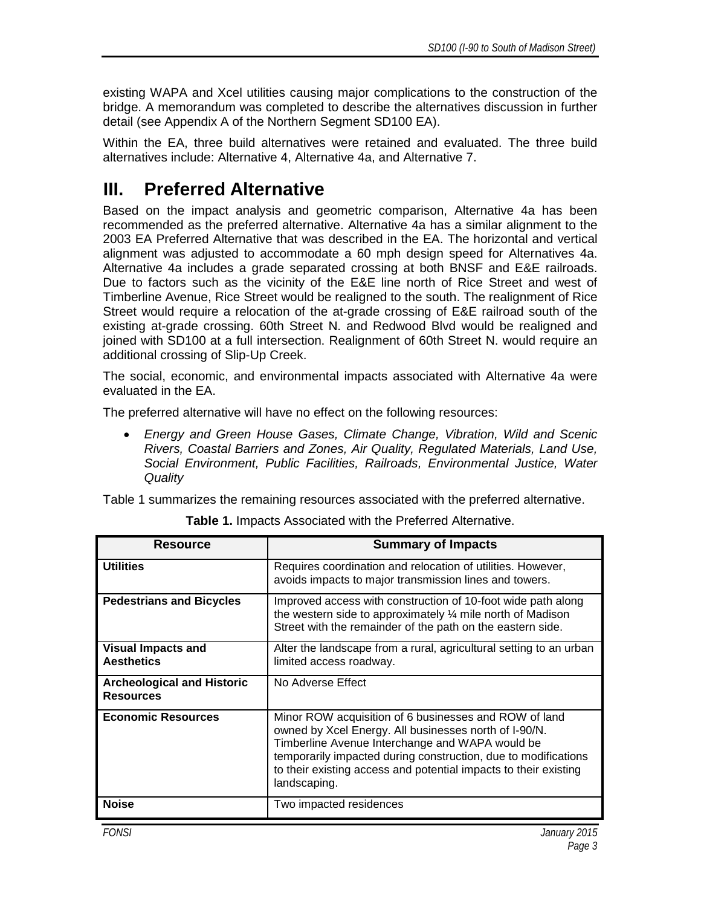existing WAPA and Xcel utilities causing major complications to the construction of the bridge. A memorandum was completed to describe the alternatives discussion in further detail (see Appendix A of the Northern Segment SD100 EA).

Within the EA, three build alternatives were retained and evaluated. The three build alternatives include: Alternative 4, Alternative 4a, and Alternative 7.

### <span id="page-4-0"></span>**III. Preferred Alternative**

Based on the impact analysis and geometric comparison, Alternative 4a has been recommended as the preferred alternative. Alternative 4a has a similar alignment to the 2003 EA Preferred Alternative that was described in the EA. The horizontal and vertical alignment was adjusted to accommodate a 60 mph design speed for Alternatives 4a. Alternative 4a includes a grade separated crossing at both BNSF and E&E railroads. Due to factors such as the vicinity of the E&E line north of Rice Street and west of Timberline Avenue, Rice Street would be realigned to the south. The realignment of Rice Street would require a relocation of the at-grade crossing of E&E railroad south of the existing at-grade crossing. 60th Street N. and Redwood Blvd would be realigned and joined with SD100 at a full intersection. Realignment of 60th Street N. would require an additional crossing of Slip-Up Creek.

The social, economic, and environmental impacts associated with Alternative 4a were evaluated in the EA.

The preferred alternative will have no effect on the following resources:

• *Energy and Green House Gases, Climate Change, Vibration, Wild and Scenic Rivers, Coastal Barriers and Zones, Air Quality, Regulated Materials, Land Use, Social Environment, Public Facilities, Railroads, Environmental Justice, Water Quality*

Table 1 summarizes the remaining resources associated with the preferred alternative.

| <b>Resource</b>                                       | <b>Summary of Impacts</b>                                                                                                                                                                                                                                                                                               |
|-------------------------------------------------------|-------------------------------------------------------------------------------------------------------------------------------------------------------------------------------------------------------------------------------------------------------------------------------------------------------------------------|
| <b>Utilities</b>                                      | Requires coordination and relocation of utilities. However,<br>avoids impacts to major transmission lines and towers.                                                                                                                                                                                                   |
| <b>Pedestrians and Bicycles</b>                       | Improved access with construction of 10-foot wide path along<br>the western side to approximately $\frac{1}{4}$ mile north of Madison<br>Street with the remainder of the path on the eastern side.                                                                                                                     |
| <b>Visual Impacts and</b><br><b>Aesthetics</b>        | Alter the landscape from a rural, agricultural setting to an urban<br>limited access roadway.                                                                                                                                                                                                                           |
| <b>Archeological and Historic</b><br><b>Resources</b> | No Adverse Effect                                                                                                                                                                                                                                                                                                       |
| <b>Economic Resources</b>                             | Minor ROW acquisition of 6 businesses and ROW of land<br>owned by Xcel Energy. All businesses north of I-90/N.<br>Timberline Avenue Interchange and WAPA would be<br>temporarily impacted during construction, due to modifications<br>to their existing access and potential impacts to their existing<br>landscaping. |
| <b>Noise</b>                                          | Two impacted residences                                                                                                                                                                                                                                                                                                 |

**Table 1.** Impacts Associated with the Preferred Alternative.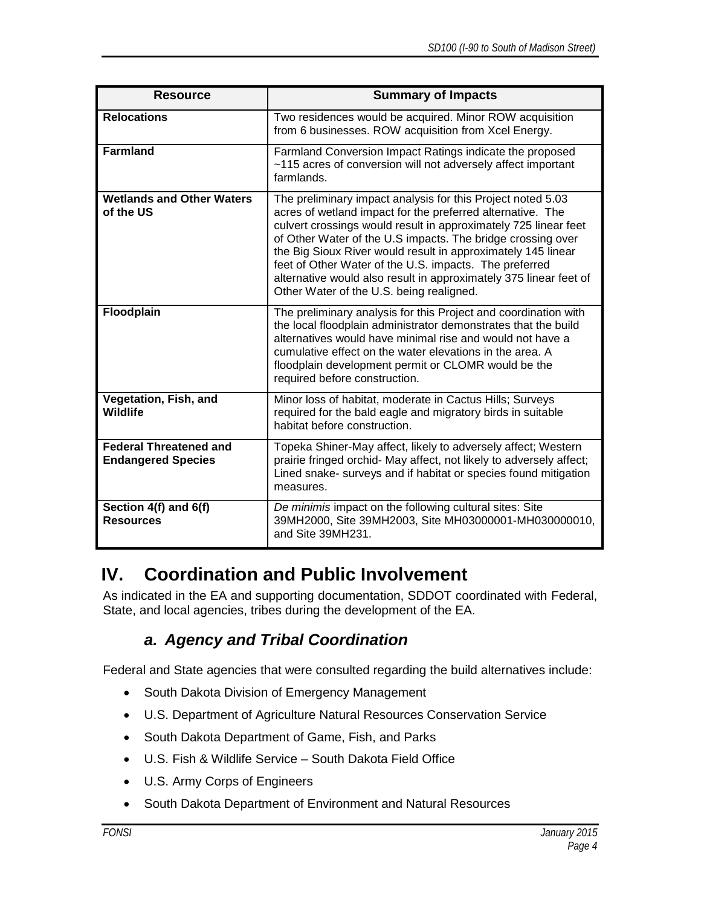| <b>Resource</b>                                            | <b>Summary of Impacts</b>                                                                                                                                                                                                                                                                                                                                                                                                                                                                              |
|------------------------------------------------------------|--------------------------------------------------------------------------------------------------------------------------------------------------------------------------------------------------------------------------------------------------------------------------------------------------------------------------------------------------------------------------------------------------------------------------------------------------------------------------------------------------------|
| <b>Relocations</b>                                         | Two residences would be acquired. Minor ROW acquisition<br>from 6 businesses. ROW acquisition from Xcel Energy.                                                                                                                                                                                                                                                                                                                                                                                        |
| Farmland                                                   | Farmland Conversion Impact Ratings indicate the proposed<br>~115 acres of conversion will not adversely affect important<br>farmlands.                                                                                                                                                                                                                                                                                                                                                                 |
| <b>Wetlands and Other Waters</b><br>of the US              | The preliminary impact analysis for this Project noted 5.03<br>acres of wetland impact for the preferred alternative. The<br>culvert crossings would result in approximately 725 linear feet<br>of Other Water of the U.S impacts. The bridge crossing over<br>the Big Sioux River would result in approximately 145 linear<br>feet of Other Water of the U.S. impacts. The preferred<br>alternative would also result in approximately 375 linear feet of<br>Other Water of the U.S. being realigned. |
| Floodplain                                                 | The preliminary analysis for this Project and coordination with<br>the local floodplain administrator demonstrates that the build<br>alternatives would have minimal rise and would not have a<br>cumulative effect on the water elevations in the area. A<br>floodplain development permit or CLOMR would be the<br>required before construction.                                                                                                                                                     |
| Vegetation, Fish, and<br><b>Wildlife</b>                   | Minor loss of habitat, moderate in Cactus Hills; Surveys<br>required for the bald eagle and migratory birds in suitable<br>habitat before construction.                                                                                                                                                                                                                                                                                                                                                |
| <b>Federal Threatened and</b><br><b>Endangered Species</b> | Topeka Shiner-May affect, likely to adversely affect; Western<br>prairie fringed orchid- May affect, not likely to adversely affect;<br>Lined snake- surveys and if habitat or species found mitigation<br>measures.                                                                                                                                                                                                                                                                                   |
| Section 4(f) and 6(f)<br><b>Resources</b>                  | De minimis impact on the following cultural sites: Site<br>39MH2000, Site 39MH2003, Site MH03000001-MH030000010,<br>and Site 39MH231.                                                                                                                                                                                                                                                                                                                                                                  |

### <span id="page-5-0"></span>**IV. Coordination and Public Involvement**

<span id="page-5-1"></span>As indicated in the EA and supporting documentation, SDDOT coordinated with Federal, State, and local agencies, tribes during the development of the EA.

#### *a. Agency and Tribal Coordination*

Federal and State agencies that were consulted regarding the build alternatives include:

- South Dakota Division of Emergency Management
- U.S. Department of Agriculture Natural Resources Conservation Service
- South Dakota Department of Game, Fish, and Parks
- U.S. Fish & Wildlife Service South Dakota Field Office
- U.S. Army Corps of Engineers
- South Dakota Department of Environment and Natural Resources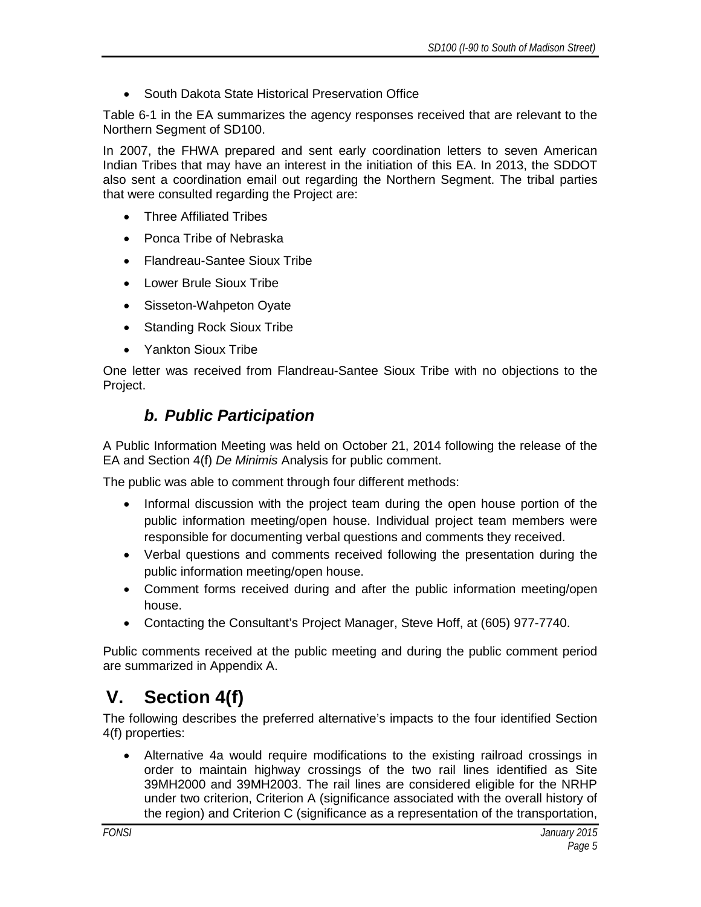• South Dakota State Historical Preservation Office

Table 6-1 in the EA summarizes the agency responses received that are relevant to the Northern Segment of SD100.

In 2007, the FHWA prepared and sent early coordination letters to seven American Indian Tribes that may have an interest in the initiation of this EA. In 2013, the SDDOT also sent a coordination email out regarding the Northern Segment. The tribal parties that were consulted regarding the Project are:

- Three Affiliated Tribes
- Ponca Tribe of Nebraska
- Flandreau-Santee Sioux Tribe
- Lower Brule Sioux Tribe
- Sisseton-Wahpeton Oyate
- Standing Rock Sioux Tribe
- Yankton Sioux Tribe

<span id="page-6-0"></span>One letter was received from Flandreau-Santee Sioux Tribe with no objections to the Project.

#### *b. Public Participation*

A Public Information Meeting was held on October 21, 2014 following the release of the EA and Section 4(f) *De Minimis* Analysis for public comment.

The public was able to comment through four different methods:

- Informal discussion with the project team during the open house portion of the public information meeting/open house. Individual project team members were responsible for documenting verbal questions and comments they received.
- Verbal questions and comments received following the presentation during the public information meeting/open house.
- Comment forms received during and after the public information meeting/open house.
- Contacting the Consultant's Project Manager, Steve Hoff, at (605) 977-7740.

Public comments received at the public meeting and during the public comment period are summarized in Appendix A.

### <span id="page-6-1"></span>**V. Section 4(f)**

The following describes the preferred alternative's impacts to the four identified Section 4(f) properties:

• Alternative 4a would require modifications to the existing railroad crossings in order to maintain highway crossings of the two rail lines identified as Site 39MH2000 and 39MH2003. The rail lines are considered eligible for the NRHP under two criterion, Criterion A (significance associated with the overall history of the region) and Criterion C (significance as a representation of the transportation,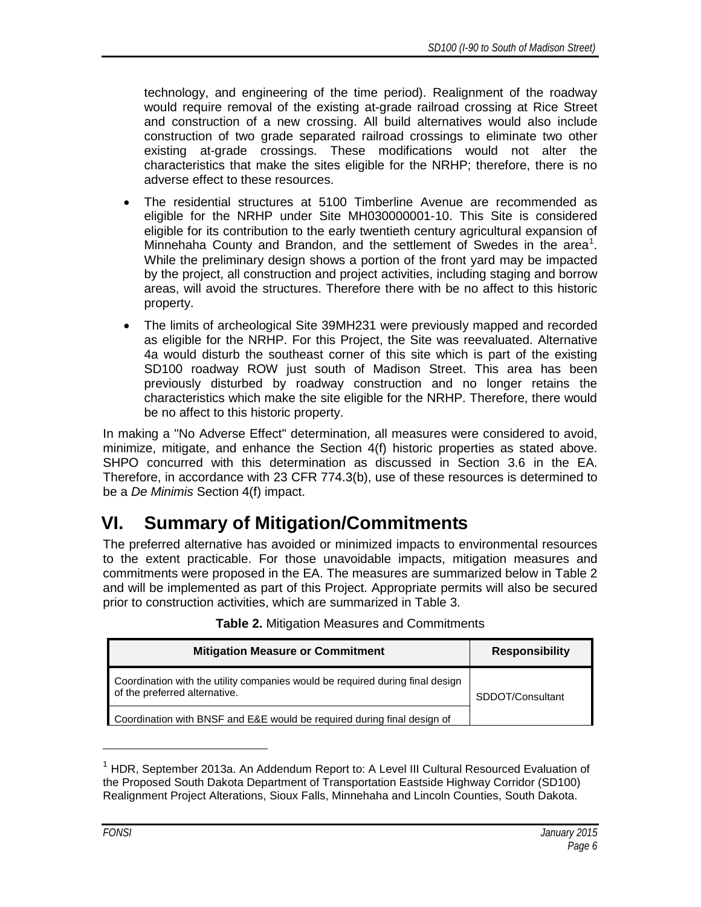technology, and engineering of the time period). Realignment of the roadway would require removal of the existing at-grade railroad crossing at Rice Street and construction of a new crossing. All build alternatives would also include construction of two grade separated railroad crossings to eliminate two other existing at-grade crossings. These modifications would not alter the characteristics that make the sites eligible for the NRHP; therefore, there is no adverse effect to these resources.

- The residential structures at 5100 Timberline Avenue are recommended as eligible for the NRHP under Site MH030000001-10. This Site is considered eligible for its contribution to the early twentieth century agricultural expansion of Minnehaha County and Brandon, and the settlement of Swedes in the area<sup>[1](#page-7-1)</sup>. While the preliminary design shows a portion of the front yard may be impacted by the project, all construction and project activities, including staging and borrow areas, will avoid the structures. Therefore there with be no affect to this historic property.
- The limits of archeological Site 39MH231 were previously mapped and recorded as eligible for the NRHP. For this Project, the Site was reevaluated. Alternative 4a would disturb the southeast corner of this site which is part of the existing SD100 roadway ROW just south of Madison Street. This area has been previously disturbed by roadway construction and no longer retains the characteristics which make the site eligible for the NRHP. Therefore, there would be no affect to this historic property.

In making a "No Adverse Effect" determination, all measures were considered to avoid, minimize, mitigate, and enhance the Section 4(f) historic properties as stated above. SHPO concurred with this determination as discussed in Section 3.6 in the EA. Therefore, in accordance with 23 CFR 774.3(b), use of these resources is determined to be a *De Minimis* Section 4(f) impact.

# <span id="page-7-0"></span>**VI. Summary of Mitigation/Commitments**

The preferred alternative has avoided or minimized impacts to environmental resources to the extent practicable. For those unavoidable impacts, mitigation measures and commitments were proposed in the EA. The measures are summarized below in Table 2 and will be implemented as part of this Project. Appropriate permits will also be secured prior to construction activities, which are summarized in Table 3.

| <b>Mitigation Measure or Commitment</b>                                                                        | <b>Responsibility</b> |
|----------------------------------------------------------------------------------------------------------------|-----------------------|
| Coordination with the utility companies would be required during final design<br>of the preferred alternative. | SDDOT/Consultant      |
| Coordination with BNSF and E&E would be required during final design of                                        |                       |

#### **Table 2.** Mitigation Measures and Commitments

 $\ddot{\phantom{a}}$ 

<span id="page-7-1"></span><sup>&</sup>lt;sup>1</sup> HDR. September 2013a. An Addendum Report to: A Level III Cultural Resourced Evaluation of the Proposed South Dakota Department of Transportation Eastside Highway Corridor (SD100) Realignment Project Alterations, Sioux Falls, Minnehaha and Lincoln Counties, South Dakota.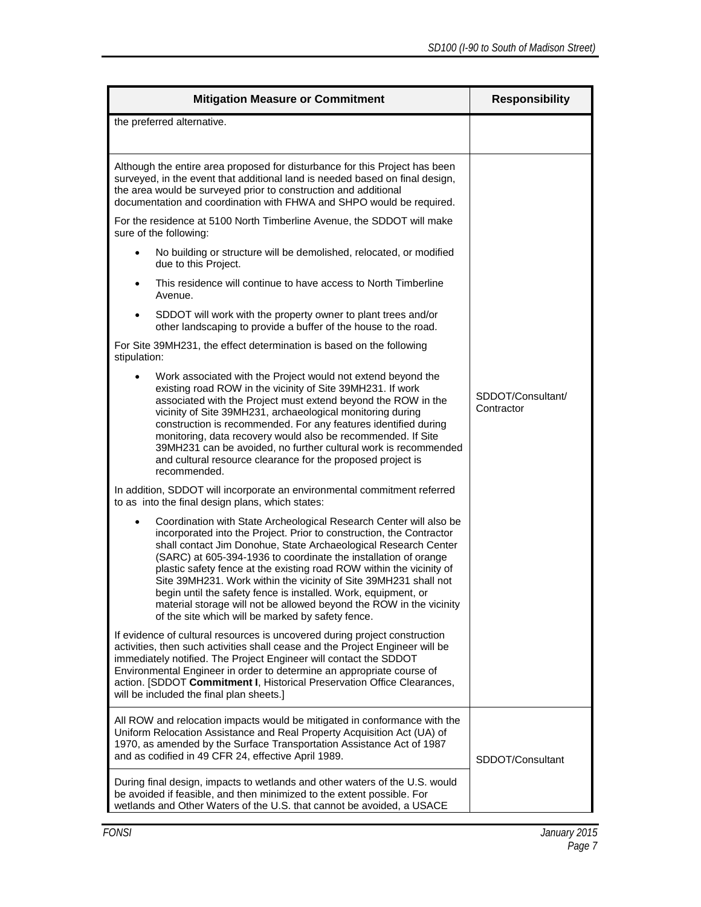| <b>Mitigation Measure or Commitment</b>                                                                                                                                                                                                                                                                                                                                                                                                                                                                                                                                                                                    | <b>Responsibility</b>           |  |
|----------------------------------------------------------------------------------------------------------------------------------------------------------------------------------------------------------------------------------------------------------------------------------------------------------------------------------------------------------------------------------------------------------------------------------------------------------------------------------------------------------------------------------------------------------------------------------------------------------------------------|---------------------------------|--|
| the preferred alternative.                                                                                                                                                                                                                                                                                                                                                                                                                                                                                                                                                                                                 |                                 |  |
| Although the entire area proposed for disturbance for this Project has been<br>surveyed, in the event that additional land is needed based on final design,<br>the area would be surveyed prior to construction and additional<br>documentation and coordination with FHWA and SHPO would be required.                                                                                                                                                                                                                                                                                                                     |                                 |  |
| For the residence at 5100 North Timberline Avenue, the SDDOT will make<br>sure of the following:                                                                                                                                                                                                                                                                                                                                                                                                                                                                                                                           |                                 |  |
| No building or structure will be demolished, relocated, or modified<br>due to this Project.                                                                                                                                                                                                                                                                                                                                                                                                                                                                                                                                |                                 |  |
| This residence will continue to have access to North Timberline<br>Avenue.                                                                                                                                                                                                                                                                                                                                                                                                                                                                                                                                                 |                                 |  |
| SDDOT will work with the property owner to plant trees and/or<br>other landscaping to provide a buffer of the house to the road.                                                                                                                                                                                                                                                                                                                                                                                                                                                                                           |                                 |  |
| For Site 39MH231, the effect determination is based on the following<br>stipulation:                                                                                                                                                                                                                                                                                                                                                                                                                                                                                                                                       |                                 |  |
| Work associated with the Project would not extend beyond the<br>existing road ROW in the vicinity of Site 39MH231. If work<br>associated with the Project must extend beyond the ROW in the<br>vicinity of Site 39MH231, archaeological monitoring during<br>construction is recommended. For any features identified during<br>monitoring, data recovery would also be recommended. If Site<br>39MH231 can be avoided, no further cultural work is recommended<br>and cultural resource clearance for the proposed project is<br>recommended.                                                                             | SDDOT/Consultant/<br>Contractor |  |
| In addition, SDDOT will incorporate an environmental commitment referred<br>to as into the final design plans, which states:                                                                                                                                                                                                                                                                                                                                                                                                                                                                                               |                                 |  |
| Coordination with State Archeological Research Center will also be<br>incorporated into the Project. Prior to construction, the Contractor<br>shall contact Jim Donohue, State Archaeological Research Center<br>(SARC) at 605-394-1936 to coordinate the installation of orange<br>plastic safety fence at the existing road ROW within the vicinity of<br>Site 39MH231. Work within the vicinity of Site 39MH231 shall not<br>begin until the safety fence is installed. Work, equipment, or<br>material storage will not be allowed beyond the ROW in the vicinity<br>of the site which will be marked by safety fence. |                                 |  |
| If evidence of cultural resources is uncovered during project construction<br>activities, then such activities shall cease and the Project Engineer will be<br>immediately notified. The Project Engineer will contact the SDDOT<br>Environmental Engineer in order to determine an appropriate course of<br>action. [SDDOT Commitment I, Historical Preservation Office Clearances,<br>will be included the final plan sheets.]                                                                                                                                                                                           |                                 |  |
| All ROW and relocation impacts would be mitigated in conformance with the<br>Uniform Relocation Assistance and Real Property Acquisition Act (UA) of<br>1970, as amended by the Surface Transportation Assistance Act of 1987<br>and as codified in 49 CFR 24, effective April 1989.                                                                                                                                                                                                                                                                                                                                       | SDDOT/Consultant                |  |
| During final design, impacts to wetlands and other waters of the U.S. would<br>be avoided if feasible, and then minimized to the extent possible. For<br>wetlands and Other Waters of the U.S. that cannot be avoided, a USACE                                                                                                                                                                                                                                                                                                                                                                                             |                                 |  |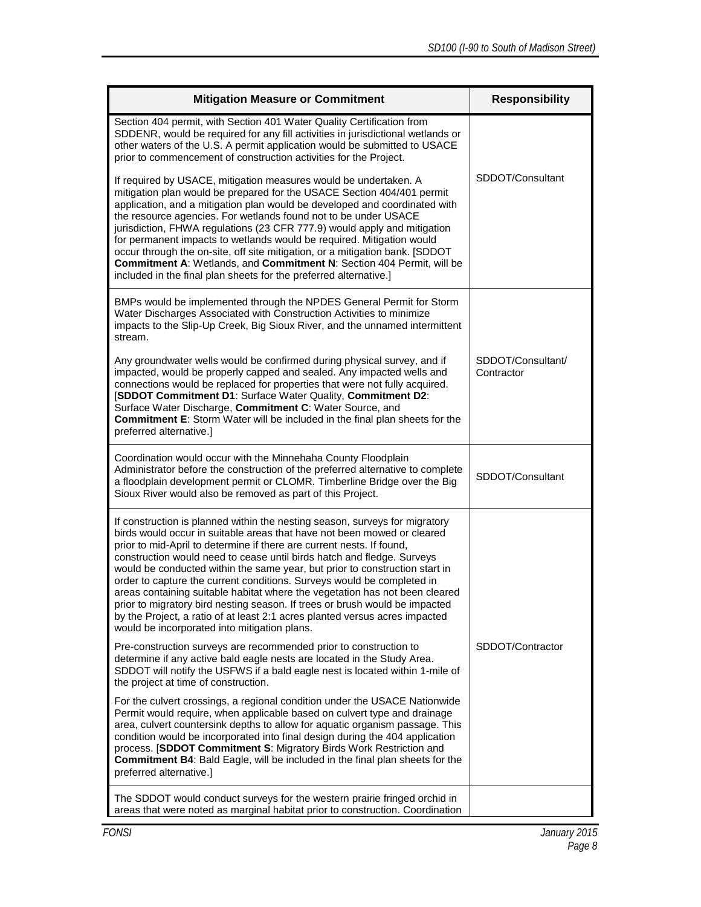| <b>Mitigation Measure or Commitment</b>                                                                                                                                                                                                                                                                                                                                                                                                                                                                                                                                                                                                                                                                                                                         | <b>Responsibility</b>           |
|-----------------------------------------------------------------------------------------------------------------------------------------------------------------------------------------------------------------------------------------------------------------------------------------------------------------------------------------------------------------------------------------------------------------------------------------------------------------------------------------------------------------------------------------------------------------------------------------------------------------------------------------------------------------------------------------------------------------------------------------------------------------|---------------------------------|
| Section 404 permit, with Section 401 Water Quality Certification from<br>SDDENR, would be required for any fill activities in jurisdictional wetlands or<br>other waters of the U.S. A permit application would be submitted to USACE<br>prior to commencement of construction activities for the Project.                                                                                                                                                                                                                                                                                                                                                                                                                                                      |                                 |
| If required by USACE, mitigation measures would be undertaken. A<br>mitigation plan would be prepared for the USACE Section 404/401 permit<br>application, and a mitigation plan would be developed and coordinated with<br>the resource agencies. For wetlands found not to be under USACE<br>jurisdiction, FHWA regulations (23 CFR 777.9) would apply and mitigation<br>for permanent impacts to wetlands would be required. Mitigation would<br>occur through the on-site, off site mitigation, or a mitigation bank. [SDDOT<br>Commitment A: Wetlands, and Commitment N: Section 404 Permit, will be<br>included in the final plan sheets for the preferred alternative.]                                                                                  | SDDOT/Consultant                |
| BMPs would be implemented through the NPDES General Permit for Storm<br>Water Discharges Associated with Construction Activities to minimize<br>impacts to the Slip-Up Creek, Big Sioux River, and the unnamed intermittent<br>stream.                                                                                                                                                                                                                                                                                                                                                                                                                                                                                                                          |                                 |
| Any groundwater wells would be confirmed during physical survey, and if<br>impacted, would be properly capped and sealed. Any impacted wells and<br>connections would be replaced for properties that were not fully acquired.<br>[SDDOT Commitment D1: Surface Water Quality, Commitment D2:<br>Surface Water Discharge, Commitment C: Water Source, and<br><b>Commitment E:</b> Storm Water will be included in the final plan sheets for the<br>preferred alternative.]                                                                                                                                                                                                                                                                                      | SDDOT/Consultant/<br>Contractor |
| Coordination would occur with the Minnehaha County Floodplain<br>Administrator before the construction of the preferred alternative to complete<br>a floodplain development permit or CLOMR. Timberline Bridge over the Big<br>Sioux River would also be removed as part of this Project.                                                                                                                                                                                                                                                                                                                                                                                                                                                                       | SDDOT/Consultant                |
| If construction is planned within the nesting season, surveys for migratory<br>birds would occur in suitable areas that have not been mowed or cleared<br>prior to mid-April to determine if there are current nests. If found,<br>construction would need to cease until birds hatch and fledge. Surveys<br>would be conducted within the same year, but prior to construction start in<br>order to capture the current conditions. Surveys would be completed in<br>areas containing suitable habitat where the vegetation has not been cleared<br>prior to migratory bird nesting season. If trees or brush would be impacted<br>by the Project, a ratio of at least 2:1 acres planted versus acres impacted<br>would be incorporated into mitigation plans. |                                 |
| Pre-construction surveys are recommended prior to construction to<br>determine if any active bald eagle nests are located in the Study Area.<br>SDDOT will notify the USFWS if a bald eagle nest is located within 1-mile of<br>the project at time of construction.                                                                                                                                                                                                                                                                                                                                                                                                                                                                                            | SDDOT/Contractor                |
| For the culvert crossings, a regional condition under the USACE Nationwide<br>Permit would require, when applicable based on culvert type and drainage<br>area, culvert countersink depths to allow for aquatic organism passage. This<br>condition would be incorporated into final design during the 404 application<br>process. [SDDOT Commitment S: Migratory Birds Work Restriction and<br><b>Commitment B4: Bald Eagle, will be included in the final plan sheets for the</b><br>preferred alternative.]                                                                                                                                                                                                                                                  |                                 |
| The SDDOT would conduct surveys for the western prairie fringed orchid in<br>areas that were noted as marginal habitat prior to construction. Coordination                                                                                                                                                                                                                                                                                                                                                                                                                                                                                                                                                                                                      |                                 |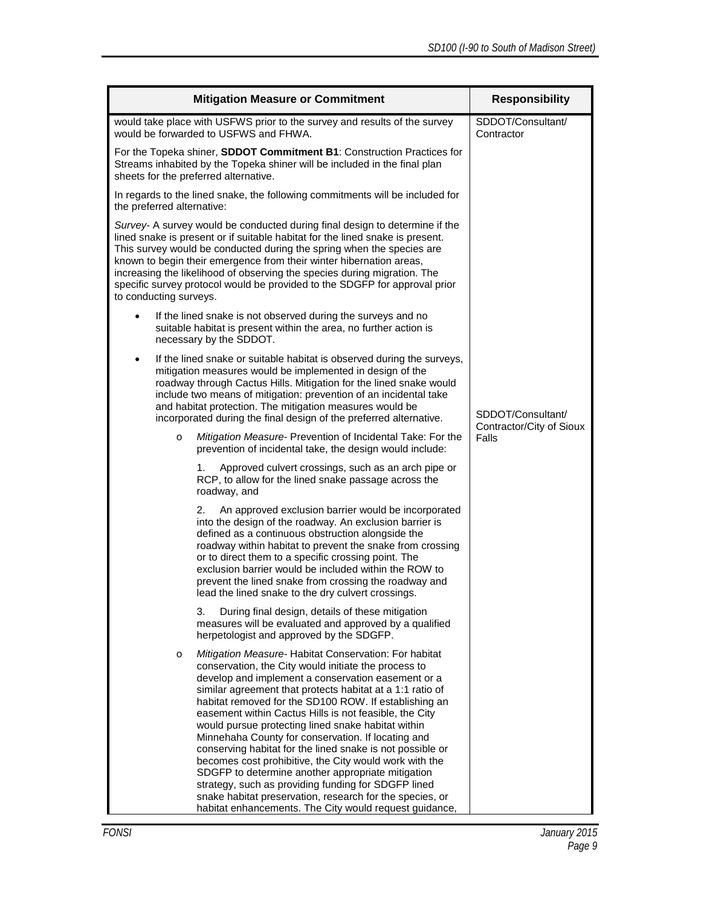| <b>Mitigation Measure or Commitment</b>                                                                                                                                                                                                                                                                                                                                                                                                                                                                                                                                                                                                                                                                                                                                   | <b>Responsibility</b>                         |
|---------------------------------------------------------------------------------------------------------------------------------------------------------------------------------------------------------------------------------------------------------------------------------------------------------------------------------------------------------------------------------------------------------------------------------------------------------------------------------------------------------------------------------------------------------------------------------------------------------------------------------------------------------------------------------------------------------------------------------------------------------------------------|-----------------------------------------------|
| would take place with USFWS prior to the survey and results of the survey<br>would be forwarded to USFWS and FHWA.                                                                                                                                                                                                                                                                                                                                                                                                                                                                                                                                                                                                                                                        | SDDOT/Consultant/<br>Contractor               |
| For the Topeka shiner, SDDOT Commitment B1: Construction Practices for<br>Streams inhabited by the Topeka shiner will be included in the final plan<br>sheets for the preferred alternative.                                                                                                                                                                                                                                                                                                                                                                                                                                                                                                                                                                              |                                               |
| In regards to the lined snake, the following commitments will be included for<br>the preferred alternative:                                                                                                                                                                                                                                                                                                                                                                                                                                                                                                                                                                                                                                                               |                                               |
| Survey- A survey would be conducted during final design to determine if the<br>lined snake is present or if suitable habitat for the lined snake is present.<br>This survey would be conducted during the spring when the species are<br>known to begin their emergence from their winter hibernation areas,<br>increasing the likelihood of observing the species during migration. The<br>specific survey protocol would be provided to the SDGFP for approval prior<br>to conducting surveys.                                                                                                                                                                                                                                                                          |                                               |
| If the lined snake is not observed during the surveys and no<br>suitable habitat is present within the area, no further action is<br>necessary by the SDDOT.                                                                                                                                                                                                                                                                                                                                                                                                                                                                                                                                                                                                              |                                               |
| If the lined snake or suitable habitat is observed during the surveys,<br>$\bullet$<br>mitigation measures would be implemented in design of the<br>roadway through Cactus Hills. Mitigation for the lined snake would<br>include two means of mitigation: prevention of an incidental take<br>and habitat protection. The mitigation measures would be<br>incorporated during the final design of the preferred alternative.                                                                                                                                                                                                                                                                                                                                             | SDDOT/Consultant/<br>Contractor/City of Sioux |
| Mitigation Measure- Prevention of Incidental Take: For the<br>$\circ$<br>prevention of incidental take, the design would include:                                                                                                                                                                                                                                                                                                                                                                                                                                                                                                                                                                                                                                         | Falls                                         |
| 1.<br>Approved culvert crossings, such as an arch pipe or<br>RCP, to allow for the lined snake passage across the<br>roadway, and                                                                                                                                                                                                                                                                                                                                                                                                                                                                                                                                                                                                                                         |                                               |
| An approved exclusion barrier would be incorporated<br>2.<br>into the design of the roadway. An exclusion barrier is<br>defined as a continuous obstruction alongside the<br>roadway within habitat to prevent the snake from crossing<br>or to direct them to a specific crossing point. The<br>exclusion barrier would be included within the ROW to<br>prevent the lined snake from crossing the roadway and<br>lead the lined snake to the dry culvert crossings.                                                                                                                                                                                                                                                                                                     |                                               |
| During final design, details of these mitigation<br>3.<br>measures will be evaluated and approved by a qualified<br>herpetologist and approved by the SDGFP.                                                                                                                                                                                                                                                                                                                                                                                                                                                                                                                                                                                                              |                                               |
| Mitigation Measure- Habitat Conservation: For habitat<br>$\circ$<br>conservation, the City would initiate the process to<br>develop and implement a conservation easement or a<br>similar agreement that protects habitat at a 1:1 ratio of<br>habitat removed for the SD100 ROW. If establishing an<br>easement within Cactus Hills is not feasible, the City<br>would pursue protecting lined snake habitat within<br>Minnehaha County for conservation. If locating and<br>conserving habitat for the lined snake is not possible or<br>becomes cost prohibitive, the City would work with the<br>SDGFP to determine another appropriate mitigation<br>strategy, such as providing funding for SDGFP lined<br>snake habitat preservation, research for the species, or |                                               |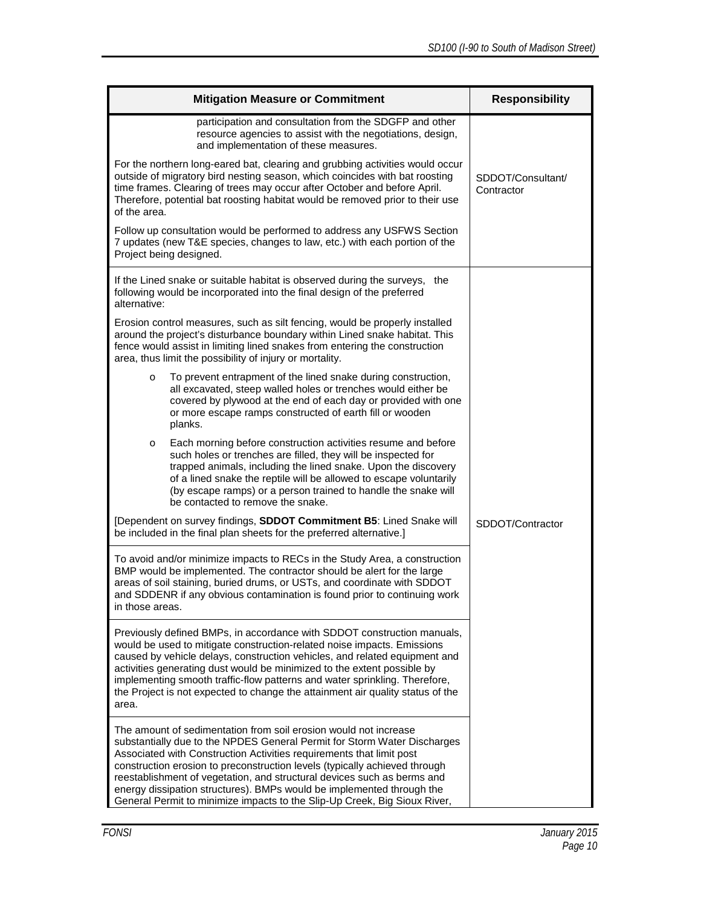| <b>Mitigation Measure or Commitment</b>                                                                                                                                                                                                                                                                                                                                                                                                                                                                                             | <b>Responsibility</b>           |
|-------------------------------------------------------------------------------------------------------------------------------------------------------------------------------------------------------------------------------------------------------------------------------------------------------------------------------------------------------------------------------------------------------------------------------------------------------------------------------------------------------------------------------------|---------------------------------|
| participation and consultation from the SDGFP and other<br>resource agencies to assist with the negotiations, design,<br>and implementation of these measures.                                                                                                                                                                                                                                                                                                                                                                      |                                 |
| For the northern long-eared bat, clearing and grubbing activities would occur<br>outside of migratory bird nesting season, which coincides with bat roosting<br>time frames. Clearing of trees may occur after October and before April.<br>Therefore, potential bat roosting habitat would be removed prior to their use<br>of the area.                                                                                                                                                                                           | SDDOT/Consultant/<br>Contractor |
| Follow up consultation would be performed to address any USFWS Section<br>7 updates (new T&E species, changes to law, etc.) with each portion of the<br>Project being designed.                                                                                                                                                                                                                                                                                                                                                     |                                 |
| If the Lined snake or suitable habitat is observed during the surveys, the<br>following would be incorporated into the final design of the preferred<br>alternative:                                                                                                                                                                                                                                                                                                                                                                |                                 |
| Erosion control measures, such as silt fencing, would be properly installed<br>around the project's disturbance boundary within Lined snake habitat. This<br>fence would assist in limiting lined snakes from entering the construction<br>area, thus limit the possibility of injury or mortality.                                                                                                                                                                                                                                 |                                 |
| To prevent entrapment of the lined snake during construction,<br>$\circ$<br>all excavated, steep walled holes or trenches would either be<br>covered by plywood at the end of each day or provided with one<br>or more escape ramps constructed of earth fill or wooden<br>planks.                                                                                                                                                                                                                                                  |                                 |
| Each morning before construction activities resume and before<br>O<br>such holes or trenches are filled, they will be inspected for<br>trapped animals, including the lined snake. Upon the discovery<br>of a lined snake the reptile will be allowed to escape voluntarily<br>(by escape ramps) or a person trained to handle the snake will<br>be contacted to remove the snake.                                                                                                                                                  |                                 |
| [Dependent on survey findings, SDDOT Commitment B5: Lined Snake will<br>be included in the final plan sheets for the preferred alternative.]                                                                                                                                                                                                                                                                                                                                                                                        | SDDOT/Contractor                |
| To avoid and/or minimize impacts to RECs in the Study Area, a construction<br>BMP would be implemented. The contractor should be alert for the large<br>areas of soil staining, buried drums, or USTs, and coordinate with SDDOT<br>and SDDENR if any obvious contamination is found prior to continuing work<br>in those areas.                                                                                                                                                                                                    |                                 |
| Previously defined BMPs, in accordance with SDDOT construction manuals,<br>would be used to mitigate construction-related noise impacts. Emissions<br>caused by vehicle delays, construction vehicles, and related equipment and<br>activities generating dust would be minimized to the extent possible by<br>implementing smooth traffic-flow patterns and water sprinkling. Therefore,<br>the Project is not expected to change the attainment air quality status of the<br>area.                                                |                                 |
| The amount of sedimentation from soil erosion would not increase<br>substantially due to the NPDES General Permit for Storm Water Discharges<br>Associated with Construction Activities requirements that limit post<br>construction erosion to preconstruction levels (typically achieved through<br>reestablishment of vegetation, and structural devices such as berms and<br>energy dissipation structures). BMPs would be implemented through the<br>General Permit to minimize impacts to the Slip-Up Creek, Big Sioux River, |                                 |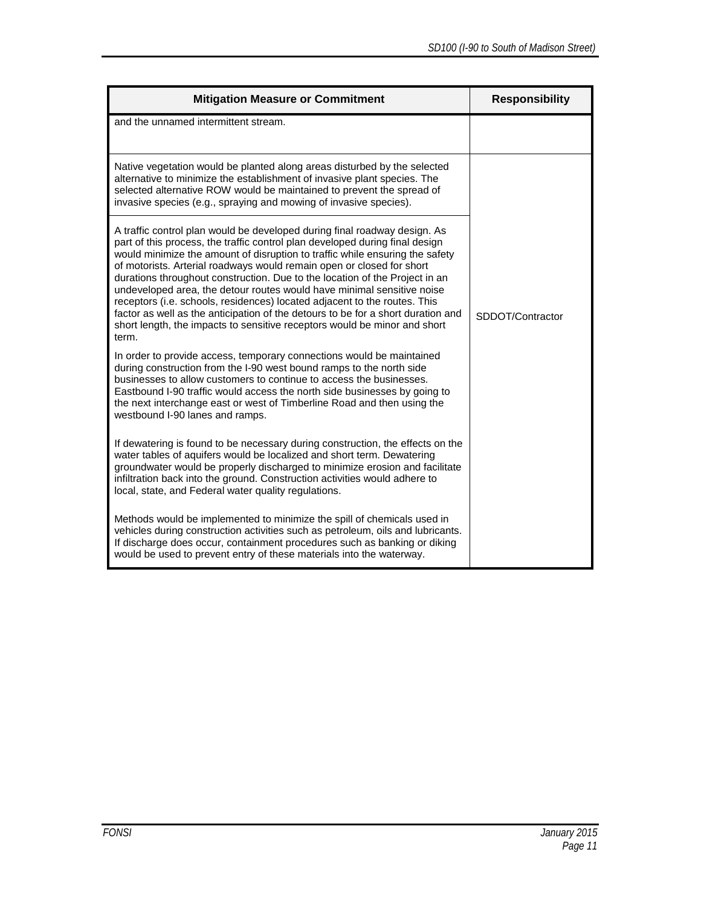| <b>Mitigation Measure or Commitment</b>                                                                                                                                                                                                                                                                                                                                                                                                                                                                                                                                                                                                                                                                                            | <b>Responsibility</b> |
|------------------------------------------------------------------------------------------------------------------------------------------------------------------------------------------------------------------------------------------------------------------------------------------------------------------------------------------------------------------------------------------------------------------------------------------------------------------------------------------------------------------------------------------------------------------------------------------------------------------------------------------------------------------------------------------------------------------------------------|-----------------------|
| and the unnamed intermittent stream.                                                                                                                                                                                                                                                                                                                                                                                                                                                                                                                                                                                                                                                                                               |                       |
| Native vegetation would be planted along areas disturbed by the selected<br>alternative to minimize the establishment of invasive plant species. The<br>selected alternative ROW would be maintained to prevent the spread of<br>invasive species (e.g., spraying and mowing of invasive species).                                                                                                                                                                                                                                                                                                                                                                                                                                 |                       |
| A traffic control plan would be developed during final roadway design. As<br>part of this process, the traffic control plan developed during final design<br>would minimize the amount of disruption to traffic while ensuring the safety<br>of motorists. Arterial roadways would remain open or closed for short<br>durations throughout construction. Due to the location of the Project in an<br>undeveloped area, the detour routes would have minimal sensitive noise<br>receptors (i.e. schools, residences) located adjacent to the routes. This<br>factor as well as the anticipation of the detours to be for a short duration and<br>short length, the impacts to sensitive receptors would be minor and short<br>term. | SDDOT/Contractor      |
| In order to provide access, temporary connections would be maintained<br>during construction from the I-90 west bound ramps to the north side<br>businesses to allow customers to continue to access the businesses.<br>Eastbound I-90 traffic would access the north side businesses by going to<br>the next interchange east or west of Timberline Road and then using the<br>westbound I-90 lanes and ramps.                                                                                                                                                                                                                                                                                                                    |                       |
| If dewatering is found to be necessary during construction, the effects on the<br>water tables of aquifers would be localized and short term. Dewatering<br>groundwater would be properly discharged to minimize erosion and facilitate<br>infiltration back into the ground. Construction activities would adhere to<br>local, state, and Federal water quality regulations.                                                                                                                                                                                                                                                                                                                                                      |                       |
| Methods would be implemented to minimize the spill of chemicals used in<br>vehicles during construction activities such as petroleum, oils and lubricants.<br>If discharge does occur, containment procedures such as banking or diking<br>would be used to prevent entry of these materials into the waterway.                                                                                                                                                                                                                                                                                                                                                                                                                    |                       |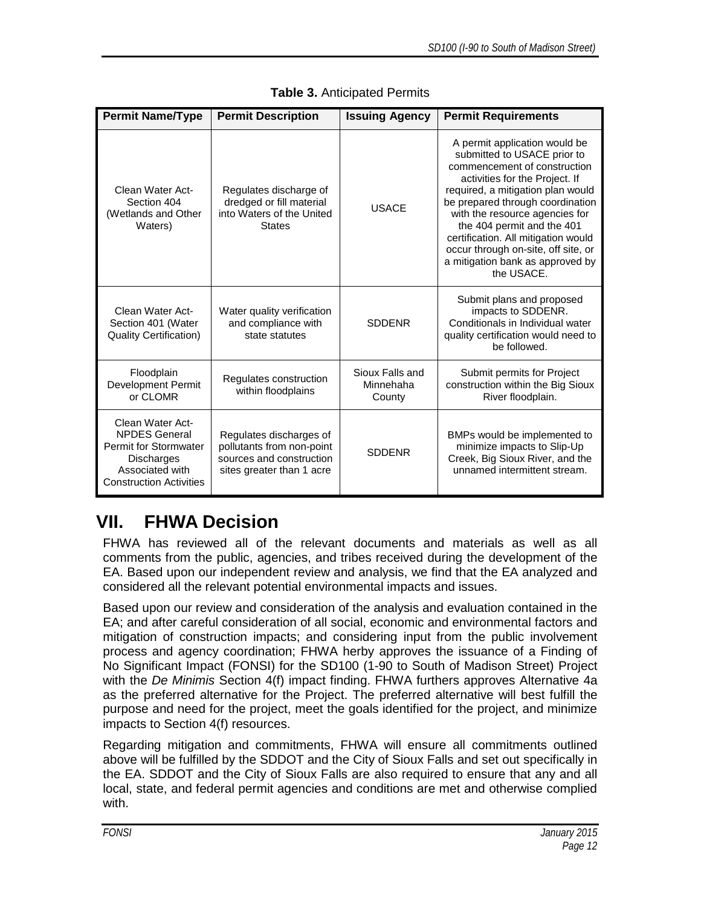| <b>Permit Name/Type</b>                                                                                                                            | <b>Permit Description</b>                                                                                     | <b>Issuing Agency</b>                  | <b>Permit Requirements</b>                                                                                                                                                                                                                                                                                                                                                                              |
|----------------------------------------------------------------------------------------------------------------------------------------------------|---------------------------------------------------------------------------------------------------------------|----------------------------------------|---------------------------------------------------------------------------------------------------------------------------------------------------------------------------------------------------------------------------------------------------------------------------------------------------------------------------------------------------------------------------------------------------------|
| Clean Water Act-<br>Section 404<br>(Wetlands and Other<br>Waters)                                                                                  | Regulates discharge of<br>dredged or fill material<br>into Waters of the United<br><b>States</b>              | <b>USACE</b>                           | A permit application would be<br>submitted to USACE prior to<br>commencement of construction<br>activities for the Project. If<br>required, a mitigation plan would<br>be prepared through coordination<br>with the resource agencies for<br>the 404 permit and the 401<br>certification. All mitigation would<br>occur through on-site, off site, or<br>a mitigation bank as approved by<br>the USACE. |
| Clean Water Act-<br>Section 401 (Water<br><b>Quality Certification)</b>                                                                            | Water quality verification<br>and compliance with<br>state statutes                                           | <b>SDDENR</b>                          | Submit plans and proposed<br>impacts to SDDENR.<br>Conditionals in Individual water<br>quality certification would need to<br>be followed.                                                                                                                                                                                                                                                              |
| Floodplain<br><b>Development Permit</b><br>or CLOMR                                                                                                | Regulates construction<br>within floodplains                                                                  | Sioux Falls and<br>Minnehaha<br>County | Submit permits for Project<br>construction within the Big Sioux<br>River floodplain.                                                                                                                                                                                                                                                                                                                    |
| Clean Water Act-<br><b>NPDES General</b><br><b>Permit for Stormwater</b><br><b>Discharges</b><br>Associated with<br><b>Construction Activities</b> | Regulates discharges of<br>pollutants from non-point<br>sources and construction<br>sites greater than 1 acre | <b>SDDENR</b>                          | BMPs would be implemented to<br>minimize impacts to Slip-Up<br>Creek, Big Sioux River, and the<br>unnamed intermittent stream.                                                                                                                                                                                                                                                                          |

**Table 3.** Anticipated Permits

# <span id="page-13-0"></span>**VII. FHWA Decision**

FHWA has reviewed all of the relevant documents and materials as well as all comments from the public, agencies, and tribes received during the development of the EA. Based upon our independent review and analysis, we find that the EA analyzed and considered all the relevant potential environmental impacts and issues.

Based upon our review and consideration of the analysis and evaluation contained in the EA; and after careful consideration of all social, economic and environmental factors and mitigation of construction impacts; and considering input from the public involvement process and agency coordination; FHWA herby approves the issuance of a Finding of No Significant Impact (FONSI) for the SD100 (1-90 to South of Madison Street) Project with the *De Minimis* Section 4(f) impact finding. FHWA furthers approves Alternative 4a as the preferred alternative for the Project. The preferred alternative will best fulfill the purpose and need for the project, meet the goals identified for the project, and minimize impacts to Section 4(f) resources.

Regarding mitigation and commitments, FHWA will ensure all commitments outlined above will be fulfilled by the SDDOT and the City of Sioux Falls and set out specifically in the EA. SDDOT and the City of Sioux Falls are also required to ensure that any and all local, state, and federal permit agencies and conditions are met and otherwise complied with.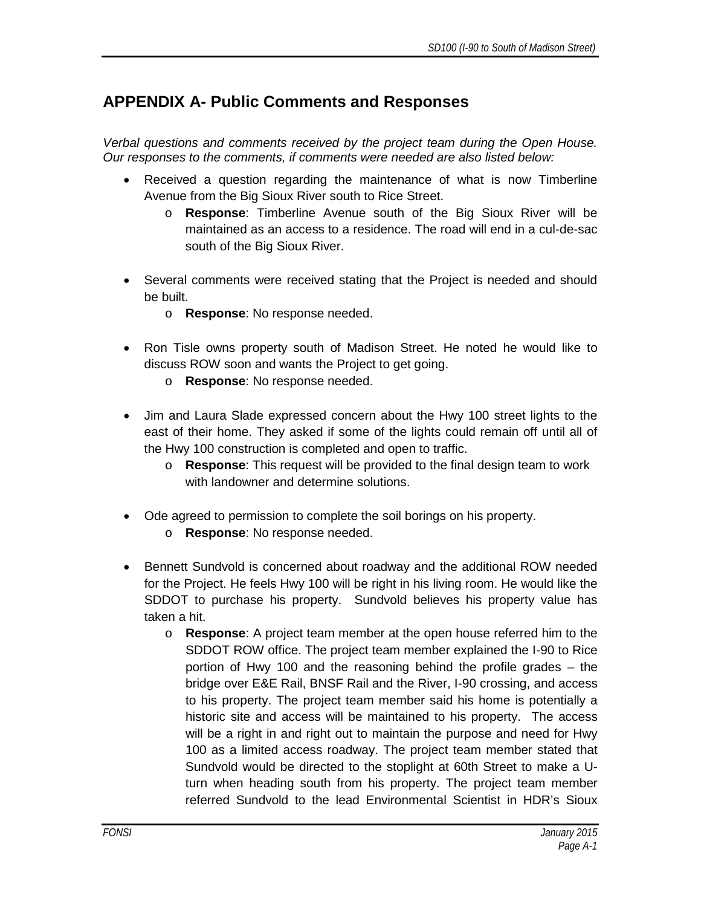#### <span id="page-14-0"></span>**APPENDIX A- Public Comments and Responses**

*Verbal questions and comments received by the project team during the Open House. Our responses to the comments, if comments were needed are also listed below:*

- Received a question regarding the maintenance of what is now Timberline Avenue from the Big Sioux River south to Rice Street.
	- o **Response**: Timberline Avenue south of the Big Sioux River will be maintained as an access to a residence. The road will end in a cul-de-sac south of the Big Sioux River.
- Several comments were received stating that the Project is needed and should be built.
	- o **Response**: No response needed.
- Ron Tisle owns property south of Madison Street. He noted he would like to discuss ROW soon and wants the Project to get going.
	- o **Response**: No response needed.
- Jim and Laura Slade expressed concern about the Hwy 100 street lights to the east of their home. They asked if some of the lights could remain off until all of the Hwy 100 construction is completed and open to traffic.
	- o **Response**: This request will be provided to the final design team to work with landowner and determine solutions.
- Ode agreed to permission to complete the soil borings on his property.
	- o **Response**: No response needed.
- Bennett Sundvold is concerned about roadway and the additional ROW needed for the Project. He feels Hwy 100 will be right in his living room. He would like the SDDOT to purchase his property. Sundvold believes his property value has taken a hit.
	- o **Response**: A project team member at the open house referred him to the SDDOT ROW office. The project team member explained the I-90 to Rice portion of Hwy 100 and the reasoning behind the profile grades – the bridge over E&E Rail, BNSF Rail and the River, I-90 crossing, and access to his property. The project team member said his home is potentially a historic site and access will be maintained to his property. The access will be a right in and right out to maintain the purpose and need for Hwy 100 as a limited access roadway. The project team member stated that Sundvold would be directed to the stoplight at 60th Street to make a Uturn when heading south from his property. The project team member referred Sundvold to the lead Environmental Scientist in HDR's Sioux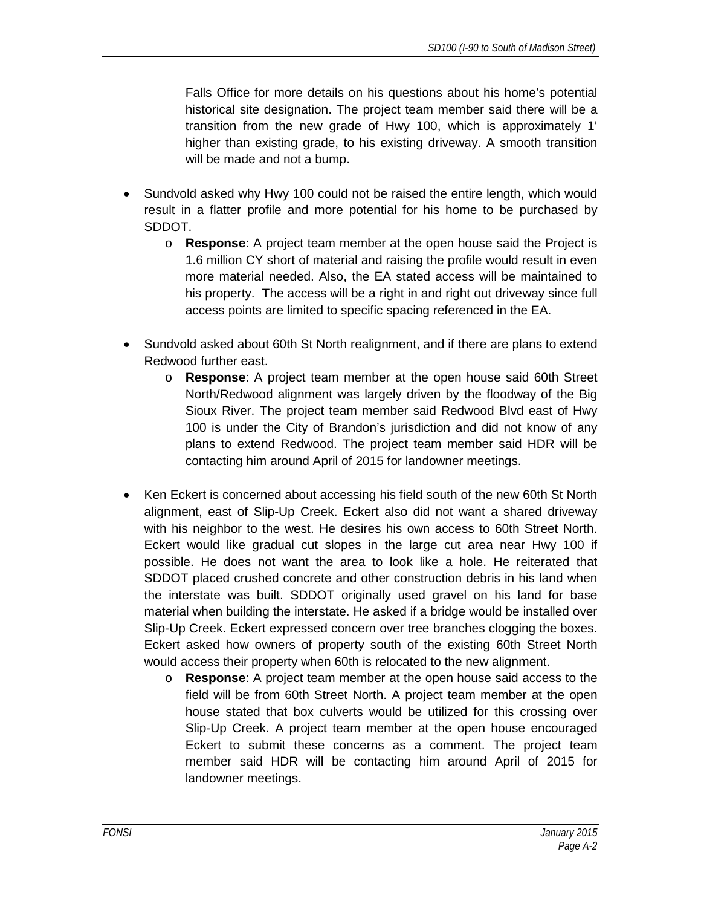Falls Office for more details on his questions about his home's potential historical site designation. The project team member said there will be a transition from the new grade of Hwy 100, which is approximately 1' higher than existing grade, to his existing driveway. A smooth transition will be made and not a bump.

- Sundvold asked why Hwy 100 could not be raised the entire length, which would result in a flatter profile and more potential for his home to be purchased by SDDOT.
	- o **Response**: A project team member at the open house said the Project is 1.6 million CY short of material and raising the profile would result in even more material needed. Also, the EA stated access will be maintained to his property. The access will be a right in and right out driveway since full access points are limited to specific spacing referenced in the EA.
- Sundvold asked about 60th St North realignment, and if there are plans to extend Redwood further east.
	- o **Response**: A project team member at the open house said 60th Street North/Redwood alignment was largely driven by the floodway of the Big Sioux River. The project team member said Redwood Blvd east of Hwy 100 is under the City of Brandon's jurisdiction and did not know of any plans to extend Redwood. The project team member said HDR will be contacting him around April of 2015 for landowner meetings.
- Ken Eckert is concerned about accessing his field south of the new 60th St North alignment, east of Slip-Up Creek. Eckert also did not want a shared driveway with his neighbor to the west. He desires his own access to 60th Street North. Eckert would like gradual cut slopes in the large cut area near Hwy 100 if possible. He does not want the area to look like a hole. He reiterated that SDDOT placed crushed concrete and other construction debris in his land when the interstate was built. SDDOT originally used gravel on his land for base material when building the interstate. He asked if a bridge would be installed over Slip-Up Creek. Eckert expressed concern over tree branches clogging the boxes. Eckert asked how owners of property south of the existing 60th Street North would access their property when 60th is relocated to the new alignment.
	- o **Response**: A project team member at the open house said access to the field will be from 60th Street North. A project team member at the open house stated that box culverts would be utilized for this crossing over Slip-Up Creek. A project team member at the open house encouraged Eckert to submit these concerns as a comment. The project team member said HDR will be contacting him around April of 2015 for landowner meetings.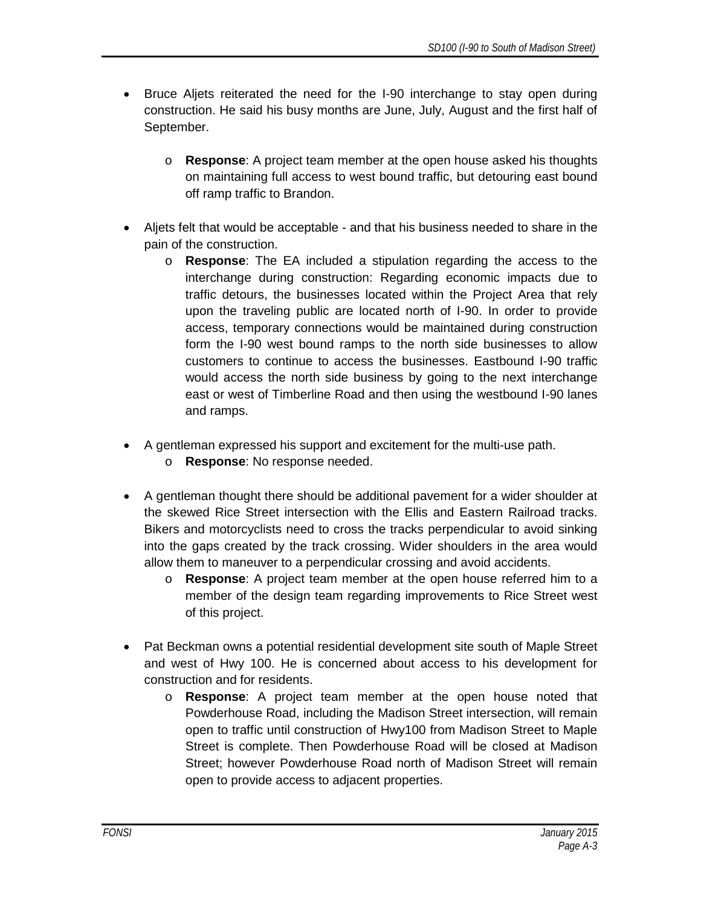- Bruce Aljets reiterated the need for the I-90 interchange to stay open during construction. He said his busy months are June, July, August and the first half of September.
	- o **Response**: A project team member at the open house asked his thoughts on maintaining full access to west bound traffic, but detouring east bound off ramp traffic to Brandon.
- Aljets felt that would be acceptable and that his business needed to share in the pain of the construction.
	- o **Response**: The EA included a stipulation regarding the access to the interchange during construction: Regarding economic impacts due to traffic detours, the businesses located within the Project Area that rely upon the traveling public are located north of I-90. In order to provide access, temporary connections would be maintained during construction form the I-90 west bound ramps to the north side businesses to allow customers to continue to access the businesses. Eastbound I-90 traffic would access the north side business by going to the next interchange east or west of Timberline Road and then using the westbound I-90 lanes and ramps.
- A gentleman expressed his support and excitement for the multi-use path.
	- o **Response**: No response needed.
- A gentleman thought there should be additional pavement for a wider shoulder at the skewed Rice Street intersection with the Ellis and Eastern Railroad tracks. Bikers and motorcyclists need to cross the tracks perpendicular to avoid sinking into the gaps created by the track crossing. Wider shoulders in the area would allow them to maneuver to a perpendicular crossing and avoid accidents.
	- o **Response**: A project team member at the open house referred him to a member of the design team regarding improvements to Rice Street west of this project.
- Pat Beckman owns a potential residential development site south of Maple Street and west of Hwy 100. He is concerned about access to his development for construction and for residents.
	- o **Response**: A project team member at the open house noted that Powderhouse Road, including the Madison Street intersection, will remain open to traffic until construction of Hwy100 from Madison Street to Maple Street is complete. Then Powderhouse Road will be closed at Madison Street; however Powderhouse Road north of Madison Street will remain open to provide access to adjacent properties.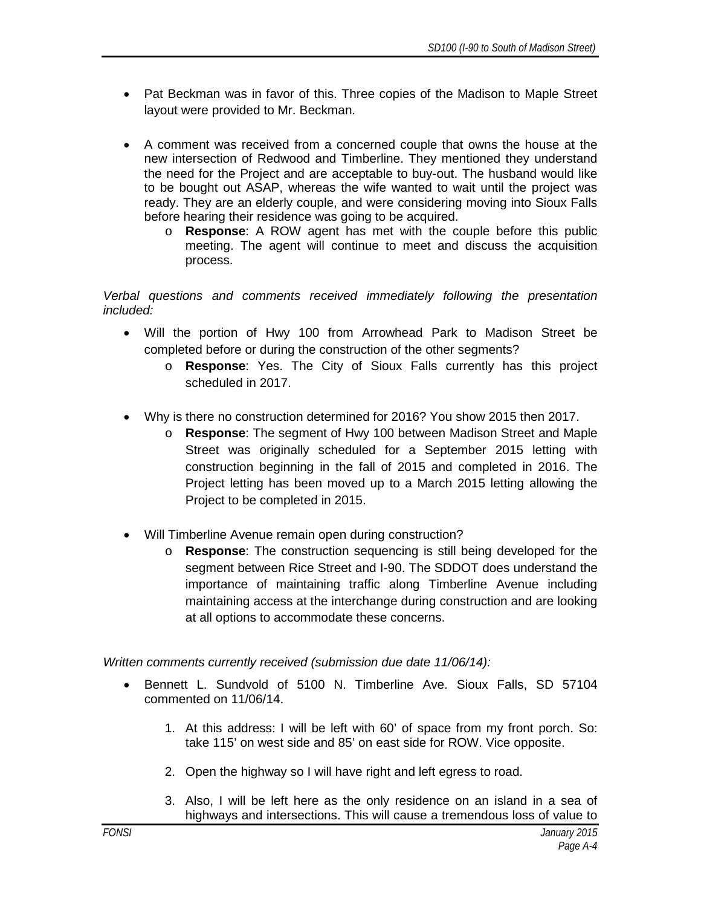- Pat Beckman was in favor of this. Three copies of the Madison to Maple Street layout were provided to Mr. Beckman.
- A comment was received from a concerned couple that owns the house at the new intersection of Redwood and Timberline. They mentioned they understand the need for the Project and are acceptable to buy-out. The husband would like to be bought out ASAP, whereas the wife wanted to wait until the project was ready. They are an elderly couple, and were considering moving into Sioux Falls before hearing their residence was going to be acquired.
	- o **Response**: A ROW agent has met with the couple before this public meeting. The agent will continue to meet and discuss the acquisition process.

*Verbal questions and comments received immediately following the presentation included:*

- Will the portion of Hwy 100 from Arrowhead Park to Madison Street be completed before or during the construction of the other segments?
	- o **Response**: Yes. The City of Sioux Falls currently has this project scheduled in 2017.
- Why is there no construction determined for 2016? You show 2015 then 2017.
	- o **Response**: The segment of Hwy 100 between Madison Street and Maple Street was originally scheduled for a September 2015 letting with construction beginning in the fall of 2015 and completed in 2016. The Project letting has been moved up to a March 2015 letting allowing the Project to be completed in 2015.
- Will Timberline Avenue remain open during construction?
	- o **Response**: The construction sequencing is still being developed for the segment between Rice Street and I-90. The SDDOT does understand the importance of maintaining traffic along Timberline Avenue including maintaining access at the interchange during construction and are looking at all options to accommodate these concerns.

*Written comments currently received (submission due date 11/06/14):*

- Bennett L. Sundvold of 5100 N. Timberline Ave. Sioux Falls, SD 57104 commented on 11/06/14.
	- 1. At this address: I will be left with 60' of space from my front porch. So: take 115' on west side and 85' on east side for ROW. Vice opposite.
	- 2. Open the highway so I will have right and left egress to road.
	- 3. Also, I will be left here as the only residence on an island in a sea of highways and intersections. This will cause a tremendous loss of value to